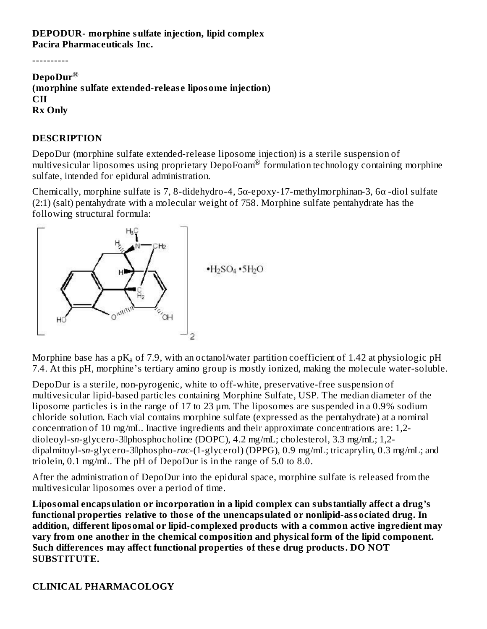#### **DEPODUR- morphine sulfate injection, lipid complex Pacira Pharmaceuticals Inc.**

----------

#### **DepoDur ® (morphine sulfate extended-releas e liposome injection) CII Rx Only**

#### **DESCRIPTION**

DepoDur (morphine sulfate extended-release liposome injection) is a sterile suspension of  $m$ ultivesicular liposomes using proprietary DepoFoam® formulation technology containing morphine sulfate, intended for epidural administration.

Chemically, morphine sulfate is 7, 8-didehydro-4, 5α-epoxy-17-methylmorphinan-3, 6α -diol sulfate (2:1) (salt) pentahydrate with a molecular weight of 758. Morphine sulfate pentahydrate has the following structural formula:



Morphine base has a p $\rm K_a$  of 7.9, with an octanol/water partition coefficient of 1.42 at physiologic pH 7.4. At this pH, morphine's tertiary amino group is mostly ionized, making the molecule water-soluble.

DepoDur is a sterile, non-pyrogenic, white to off-white, preservative-free suspension of multivesicular lipid-based particles containing Morphine Sulfate, USP. The median diameter of the liposome particles is in the range of 17 to 23 μm. The liposomes are suspended in a 0.9% sodium chloride solution. Each vial contains morphine sulfate (expressed as the pentahydrate) at a nominal concentration of 10 mg/mL. Inactive ingredients and their approximate concentrations are: 1,2 dioleoyl-sn-glycero-3<sup>p</sup>hosphocholine (DOPC), 4.2 mg/mL; cholesterol, 3.3 mg/mL; 1,2dipalmitoyl-sn-glycero-3<sup>p</sup>hospho-rac-(1-glycerol) (DPPG), 0.9 mg/mL; tricaprylin, 0.3 mg/mL; and triolein, 0.1 mg/mL. The pH of DepoDur is in the range of 5.0 to 8.0.

After the administration of DepoDur into the epidural space, morphine sulfate is released from the multivesicular liposomes over a period of time.

**Liposomal encapsulation or incorporation in a lipid complex can substantially affect a drug's functional properties relative to thos e of the unencapsulated or nonlipid-associated drug. In addition, different liposomal or lipid-complexed products with a common active ingredient may vary from one another in the chemical composition and physical form of the lipid component. Such differences may affect functional properties of thes e drug products. DO NOT SUBSTITUTE.**

#### **CLINICAL PHARMACOLOGY**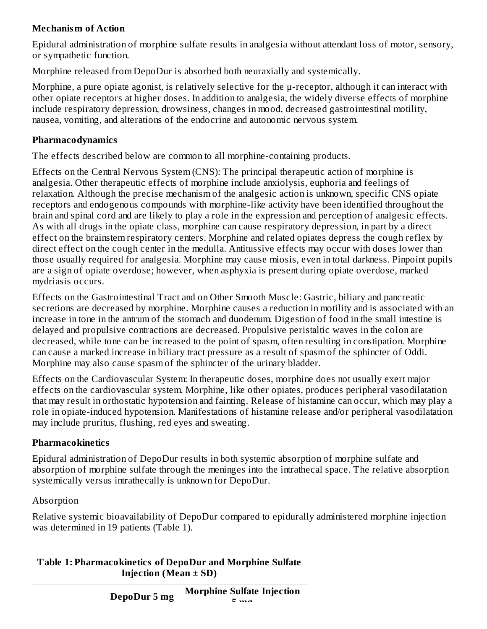## **Mechanism of Action**

Epidural administration of morphine sulfate results in analgesia without attendant loss of motor, sensory, or sympathetic function.

Morphine released from DepoDur is absorbed both neuraxially and systemically.

Morphine, a pure opiate agonist, is relatively selective for the μ-receptor, although it can interact with other opiate receptors at higher doses. In addition to analgesia, the widely diverse effects of morphine include respiratory depression, drowsiness, changes in mood, decreased gastrointestinal motility, nausea, vomiting, and alterations of the endocrine and autonomic nervous system.

#### **Pharmacodynamics**

The effects described below are common to all morphine-containing products.

Effects on the Central Nervous System (CNS): The principal therapeutic action of morphine is analgesia. Other therapeutic effects of morphine include anxiolysis, euphoria and feelings of relaxation. Although the precise mechanism of the analgesic action is unknown, specific CNS opiate receptors and endogenous compounds with morphine-like activity have been identified throughout the brain and spinal cord and are likely to play a role in the expression and perception of analgesic effects. As with all drugs in the opiate class, morphine can cause respiratory depression, in part by a direct effect on the brainstem respiratory centers. Morphine and related opiates depress the cough reflex by direct effect on the cough center in the medulla. Antitussive effects may occur with doses lower than those usually required for analgesia. Morphine may cause miosis, even in total darkness. Pinpoint pupils are a sign of opiate overdose; however, when asphyxia is present during opiate overdose, marked mydriasis occurs.

Effects on the Gastrointestinal Tract and on Other Smooth Muscle: Gastric, biliary and pancreatic secretions are decreased by morphine. Morphine causes a reduction in motility and is associated with an increase in tone in the antrum of the stomach and duodenum. Digestion of food in the small intestine is delayed and propulsive contractions are decreased. Propulsive peristaltic waves in the colon are decreased, while tone can be increased to the point of spasm, often resulting in constipation. Morphine can cause a marked increase in biliary tract pressure as a result of spasm of the sphincter of Oddi. Morphine may also cause spasm of the sphincter of the urinary bladder.

Effects on the Cardiovascular System: In therapeutic doses, morphine does not usually exert major effects on the cardiovascular system. Morphine, like other opiates, produces peripheral vasodilatation that may result in orthostatic hypotension and fainting. Release of histamine can occur, which may play a role in opiate-induced hypotension. Manifestations of histamine release and/or peripheral vasodilatation may include pruritus, flushing, red eyes and sweating.

#### **Pharmacokinetics**

Epidural administration of DepoDur results in both systemic absorption of morphine sulfate and absorption of morphine sulfate through the meninges into the intrathecal space. The relative absorption systemically versus intrathecally is unknown for DepoDur.

#### Absorption

Relative systemic bioavailability of DepoDur compared to epidurally administered morphine injection was determined in 19 patients (Table 1).

#### **Table 1: Pharmacokinetics of DepoDur and Morphine Sulfate Injection (Mean ± SD)**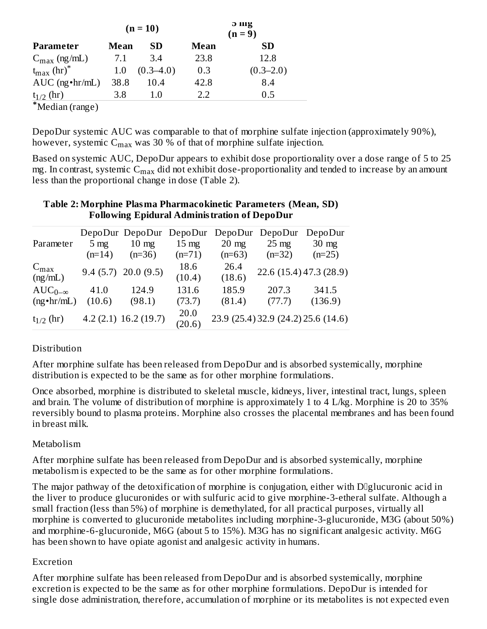|                                 |      | $(n = 10)$    |      | э шg<br>$(n=9)$ |
|---------------------------------|------|---------------|------|-----------------|
| Parameter                       | Mean | SD            | Mean | <b>SD</b>       |
| $C_{\text{max}}$ (ng/mL)        | 7.1  | 3.4           | 23.8 | 12.8            |
| $t_{\rm max}$ (hr) <sup>*</sup> | 1.0  | $(0.3 - 4.0)$ | 0.3  | $(0.3 - 2.0)$   |
| $AUC$ (ng $\cdot$ hr/mL)        | 38.8 | 10.4          | 42.8 | 8.4             |
| $t_{1/2}$ (hr)                  | 3.8  | 1.0           | 2.2  | 0.5             |
| *Median (range)                 |      |               |      |                 |

DepoDur systemic AUC was comparable to that of morphine sulfate injection (approximately 90%), however, systemic  $\mathsf{C}_{\max}$  was 30 % of that of morphine sulfate injection.

Based on systemic AUC, DepoDur appears to exhibit dose proportionality over a dose range of 5 to 25 mg. In contrast, systemic  $\mathsf{C_{max}}$  did not exhibit dose-proportionality and tended to increase by an amount less than the proportional change in dose (Table 2).

#### **Table 2: Morphine Plasma Pharmacokinetic Parameters (Mean, SD) Following Epidural Administration of DepoDur**

|                             |                | DepoDur DepoDur DepoDur DepoDur |                 |                 | DepoDur         | DepoDur                             |
|-----------------------------|----------------|---------------------------------|-----------------|-----------------|-----------------|-------------------------------------|
| Parameter                   | $5 \text{ mg}$ | $10 \text{ mg}$                 | $15 \text{ mg}$ | $20 \text{ mg}$ | $25 \text{ mg}$ | $30 \text{ mg}$                     |
|                             | $(n=14)$       | $(n=36)$                        | $(n=71)$        | $(n=63)$        | $(n=32)$        | $(n=25)$                            |
| $C_{\text{max}}$<br>(ng/mL) |                | $9.4(5.7)$ 20.0 (9.5)           | 18.6<br>(10.4)  | 26.4<br>(18.6)  |                 | 22.6 (15.4) 47.3 (28.9)             |
| $AUC_{0-\infty}$            | 41.0           | 124.9                           | 131.6           | 185.9           | 207.3           | 341.5                               |
| $(ng \cdot hr/mL)$          | (10.6)         | (98.1)                          | (73.7)          | (81.4)          | (77.7)          | (136.9)                             |
| $t_{1/2}$ (hr)              |                | $4.2(2.1)$ 16.2 (19.7)          | 20.0<br>(20.6)  |                 |                 | 23.9 (25.4) 32.9 (24.2) 25.6 (14.6) |

#### **Distribution**

After morphine sulfate has been released from DepoDur and is absorbed systemically, morphine distribution is expected to be the same as for other morphine formulations.

Once absorbed, morphine is distributed to skeletal muscle, kidneys, liver, intestinal tract, lungs, spleen and brain. The volume of distribution of morphine is approximately 1 to 4 L/kg. Morphine is 20 to 35% reversibly bound to plasma proteins. Morphine also crosses the placental membranes and has been found in breast milk.

#### Metabolism

After morphine sulfate has been released from DepoDur and is absorbed systemically, morphine metabolism is expected to be the same as for other morphine formulations.

The major pathway of the detoxification of morphine is conjugation, either with D<sup>ng</sup>lucuronic acid in the liver to produce glucuronides or with sulfuric acid to give morphine-3-etheral sulfate. Although a small fraction (less than 5%) of morphine is demethylated, for all practical purposes, virtually all morphine is converted to glucuronide metabolites including morphine-3-glucuronide, M3G (about 50%) and morphine-6-glucuronide, M6G (about 5 to 15%). M3G has no significant analgesic activity. M6G has been shown to have opiate agonist and analgesic activity in humans.

#### Excretion

After morphine sulfate has been released from DepoDur and is absorbed systemically, morphine excretion is expected to be the same as for other morphine formulations. DepoDur is intended for single dose administration, therefore, accumulation of morphine or its metabolites is not expected even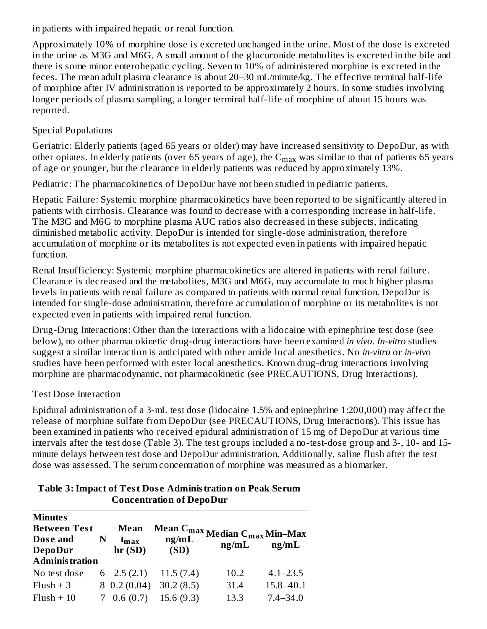in patients with impaired hepatic or renal function.

Approximately 10% of morphine dose is excreted unchanged in the urine. Most of the dose is excreted in the urine as M3G and M6G. A small amount of the glucuronide metabolites is excreted in the bile and there is some minor enterohepatic cycling. Seven to 10% of administered morphine is excreted in the feces. The mean adult plasma clearance is about 20–30 mL/minute/kg. The effective terminal half-life of morphine after IV administration is reported to be approximately 2 hours. In some studies involving longer periods of plasma sampling, a longer terminal half-life of morphine of about 15 hours was reported.

### Special Populations

Geriatric: Elderly patients (aged 65 years or older) may have increased sensitivity to DepoDur, as with other opiates. In elderly patients (over 65 years of age), the  $\rm{C_{max}}$  was similar to that of patients 65 years of age or younger, but the clearance in elderly patients was reduced by approximately 13%.

Pediatric: The pharmacokinetics of DepoDur have not been studied in pediatric patients.

Hepatic Failure: Systemic morphine pharmacokinetics have been reported to be significantly altered in patients with cirrhosis. Clearance was found to decrease with a corresponding increase in half-life. The M3G and M6G to morphine plasma AUC ratios also decreased in these subjects, indicating diminished metabolic activity. DepoDur is intended for single-dose administration, therefore accumulation of morphine or its metabolites is not expected even in patients with impaired hepatic function.

Renal Insufficiency: Systemic morphine pharmacokinetics are altered in patients with renal failure. Clearance is decreased and the metabolites, M3G and M6G, may accumulate to much higher plasma levels in patients with renal failure as compared to patients with normal renal function. DepoDur is intended for single-dose administration, therefore accumulation of morphine or its metabolites is not expected even in patients with impaired renal function.

Drug-Drug Interactions: Other than the interactions with a lidocaine with epinephrine test dose (see below), no other pharmacokinetic drug-drug interactions have been examined *in vivo*. *In-vitro* studies suggest a similar interaction is anticipated with other amide local anesthetics. No *in-vitro* or *in-vivo* studies have been performed with ester local anesthetics. Known drug-drug interactions involving morphine are pharmacodynamic, not pharmacokinetic (see PRECAUTIONS, Drug Interactions).

#### Test Dose Interaction

Epidural administration of a 3-mL test dose (lidocaine 1.5% and epinephrine 1:200,000) may affect the release of morphine sulfate from DepoDur (see PRECAUTIONS, Drug Interactions). This issue has been examined in patients who received epidural administration of 15 mg of DepoDur at various time intervals after the test dose (Table 3). The test groups included a no-test-dose group and 3-, 10- and 15 minute delays between test dose and DepoDur administration. Additionally, saline flush after the test dose was assessed. The serum concentration of morphine was measured as a biomarker.

#### **Table 3:Impact of Test Dos e Administration on Peak Serum Concentration of DepoDur**

| <b>Minutes</b>        |   |                  |           |                                                       |               |
|-----------------------|---|------------------|-----------|-------------------------------------------------------|---------------|
| <b>Between Test</b>   |   | Mean             |           | Mean $C_{\text{max}}$ Median $C_{\text{max}}$ Min–Max |               |
| Dose and              | N | $t_{\rm max}$    | ng/mL     |                                                       |               |
| <b>DepoDur</b>        |   | hr(SD)           | (SD)      | ng/mL                                                 | ng/mL         |
| <b>Administration</b> |   |                  |           |                                                       |               |
| No test dose          |   | 6 $2.5(2.1)$     | 11.5(7.4) | 10.2                                                  | $4.1 - 23.5$  |
| $Flush + 3$           |   | $8\;0.2\;(0.04)$ | 30.2(8.5) | 31.4                                                  | $15.8 - 40.1$ |
| $Flush + 10$          |   | $7\;0.6\,(0.7)$  | 15.6(9.3) | 13.3                                                  | $7.4 - 34.0$  |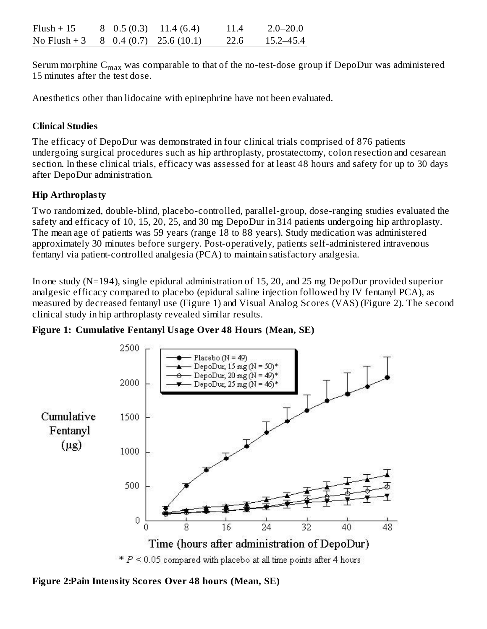| $Flush + 15$                                       |  | $8\quad 0.5(0.3) \quad 11.4(6.4)$ | 11.4 | $2.0 - 20.0$ |
|----------------------------------------------------|--|-----------------------------------|------|--------------|
| No Flush + 3 $8\quad0.4\ (0.7) \quad 25.6\ (10.1)$ |  |                                   | 22.6 | 15.2–45.4    |

Serum morphine  $\mathsf{C_{max}}$  was comparable to that of the no-test-dose group if DepoDur was administered 15 minutes after the test dose.

Anesthetics other than lidocaine with epinephrine have not been evaluated.

## **Clinical Studies**

The efficacy of DepoDur was demonstrated in four clinical trials comprised of 876 patients undergoing surgical procedures such as hip arthroplasty, prostatectomy, colon resection and cesarean section. In these clinical trials, efficacy was assessed for at least 48 hours and safety for up to 30 days after DepoDur administration.

## **Hip Arthroplasty**

Two randomized, double-blind, placebo-controlled, parallel-group, dose-ranging studies evaluated the safety and efficacy of 10, 15, 20, 25, and 30 mg DepoDur in 314 patients undergoing hip arthroplasty. The mean age of patients was 59 years (range 18 to 88 years). Study medication was administered approximately 30 minutes before surgery. Post-operatively, patients self-administered intravenous fentanyl via patient-controlled analgesia (PCA) to maintain satisfactory analgesia.

In one study (N=194), single epidural administration of 15, 20, and 25 mg DepoDur provided superior analgesic efficacy compared to placebo (epidural saline injection followed by IV fentanyl PCA), as measured by decreased fentanyl use (Figure 1) and Visual Analog Scores (VAS) (Figure 2). The second clinical study in hip arthroplasty revealed similar results.



**Figure 1: Cumulative Fentanyl Usage Over 48 Hours (Mean, SE)**

**Figure 2:Pain Intensity Scores Over 48 hours (Mean, SE)**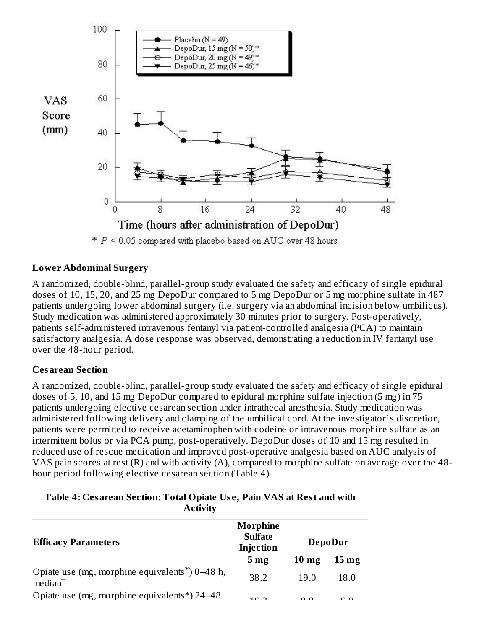

#### **Lower Abdominal Surgery**

A randomized, double-blind, parallel-group study evaluated the safety and efficacy of single epidural doses of 10, 15, 20, and 25 mg DepoDur compared to 5 mg DepoDur or 5 mg morphine sulfate in 487 patients undergoing lower abdominal surgery (i.e. surgery via an abdominal incision below umbilicus). Study medication was administered approximately 30 minutes prior to surgery. Post-operatively, patients self-administered intravenous fentanyl via patient-controlled analgesia (PCA) to maintain satisfactory analgesia. A dose response was observed, demonstrating a reduction in IV fentanyl use over the 48-hour period.

#### **Cesarean Section**

A randomized, double-blind, parallel-group study evaluated the safety and efficacy of single epidural doses of 5, 10, and 15 mg DepoDur compared to epidural morphine sulfate injection (5 mg) in 75 patients undergoing elective cesarean section under intrathecal anesthesia. Study medication was administered following delivery and clamping of the umbilical cord. At the investigator's discretion, patients were permitted to receive acetaminophen with codeine or intravenous morphine sulfate as an intermittent bolus or via PCA pump, post-operatively. DepoDur doses of 10 and 15 mg resulted in reduced use of rescue medication and improved post-operative analgesia based on AUC analysis of VAS pain scores at rest (R) and with activity (A), compared to morphine sulfate on average over the 48 hour period following elective cesarean section (Table 4).

**Table 4: Cesarean Section: Total Opiate Us e, Pain VAS at Rest and with Activity**

| <b>Efficacy Parameters</b>                                                               | Morphine<br><b>Sulfate</b><br>Injection |                 | <b>DepoDur</b>     |
|------------------------------------------------------------------------------------------|-----------------------------------------|-----------------|--------------------|
|                                                                                          | 5 <sub>mg</sub>                         | $10 \text{ mg}$ | $15 \,\mathrm{mg}$ |
| Opiate use (mg, morphine equivalents <sup>*</sup> ) 0–48 h,<br>$\text{median}^{\dagger}$ | 38.2                                    | 19.0            | 18.0               |
| Opiate use (mg, morphine equivalents*) 24–48                                             | 1 $\cap$ $\cap$                         | $\Omega$        | $\sim$ $\sim$      |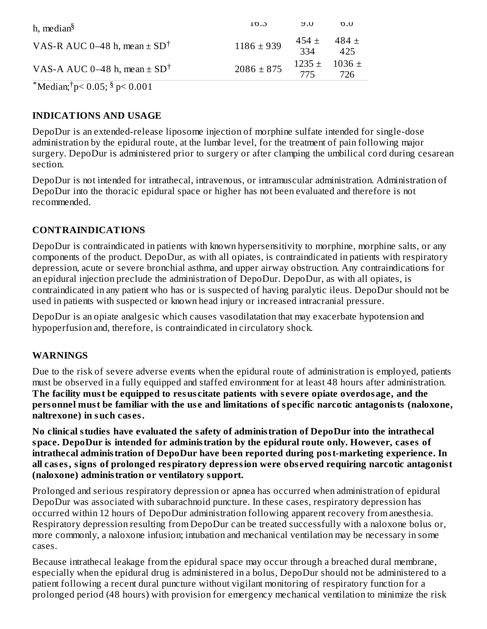| h, median <sup>§</sup>                       | LO.3           | U.0              | 0.0                              |
|----------------------------------------------|----------------|------------------|----------------------------------|
| VAS-R AUC 0–48 h, mean $\pm$ SD <sup>†</sup> | $1186 \pm 939$ | 454 $\pm$<br>334 | 484 +<br>425                     |
| VAS-A AUC 0-48 h, mean $\pm$ SD <sup>†</sup> | $2086 \pm 875$ | 775              | $1235 \pm 1036 \pm 1036$<br>726. |
|                                              |                |                  |                                  |

 $^*$ Median; $^{\dagger}$ p< 0.05;  $^{\$}$  p< 0.001

### **INDICATIONS AND USAGE**

DepoDur is an extended-release liposome injection of morphine sulfate intended for single-dose administration by the epidural route, at the lumbar level, for the treatment of pain following major surgery. DepoDur is administered prior to surgery or after clamping the umbilical cord during cesarean section.

DepoDur is not intended for intrathecal, intravenous, or intramuscular administration. Administration of DepoDur into the thoracic epidural space or higher has not been evaluated and therefore is not recommended.

### **CONTRAINDICATIONS**

DepoDur is contraindicated in patients with known hypersensitivity to morphine, morphine salts, or any components of the product. DepoDur, as with all opiates, is contraindicated in patients with respiratory depression, acute or severe bronchial asthma, and upper airway obstruction. Any contraindications for an epidural injection preclude the administration of DepoDur. DepoDur, as with all opiates, is contraindicated in any patient who has or is suspected of having paralytic ileus. DepoDur should not be used in patients with suspected or known head injury or increased intracranial pressure.

DepoDur is an opiate analgesic which causes vasodilatation that may exacerbate hypotension and hypoperfusion and, therefore, is contraindicated in circulatory shock.

#### **WARNINGS**

Due to the risk of severe adverse events when the epidural route of administration is employed, patients must be observed in a fully equipped and staffed environment for at least 48 hours after administration. **The facility must be equipped to resus citate patients with s evere opiate overdosage, and the personnel must be familiar with the us e and limitations of specific narcotic antagonists (naloxone, naltrexone) in such cas es.**

**No clinical studies have evaluated the safety of administration of DepoDur into the intrathecal space. DepoDur is intended for administration by the epidural route only. However, cas es of intrathecal administration of DepoDur have been reported during post-marketing experience. In all cas es, signs of prolonged respiratory depression were obs erved requiring narcotic antagonist (naloxone) administration or ventilatory support.**

Prolonged and serious respiratory depression or apnea has occurred when administration of epidural DepoDur was associated with subarachnoid puncture. In these cases, respiratory depression has occurred within 12 hours of DepoDur administration following apparent recovery from anesthesia. Respiratory depression resulting from DepoDur can be treated successfully with a naloxone bolus or, more commonly, a naloxone infusion; intubation and mechanical ventilation may be necessary in some cases.

Because intrathecal leakage from the epidural space may occur through a breached dural membrane, especially when the epidural drug is administered in a bolus, DepoDur should not be administered to a patient following a recent dural puncture without vigilant monitoring of respiratory function for a prolonged period (48 hours) with provision for emergency mechanical ventilation to minimize the risk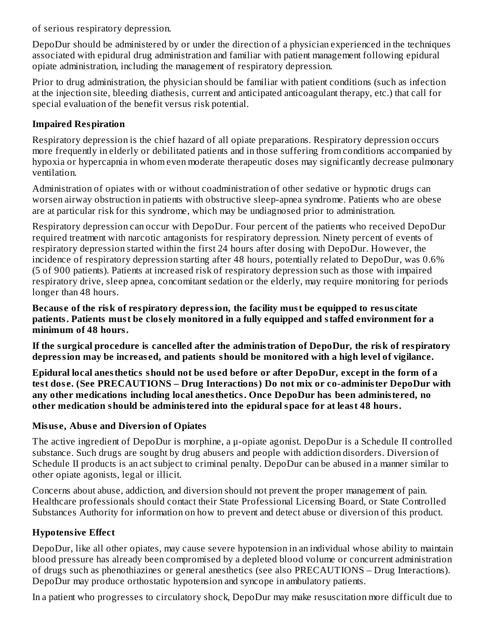of serious respiratory depression.

DepoDur should be administered by or under the direction of a physician experienced in the techniques associated with epidural drug administration and familiar with patient management following epidural opiate administration, including the management of respiratory depression.

Prior to drug administration, the physician should be familiar with patient conditions (such as infection at the injection site, bleeding diathesis, current and anticipated anticoagulant therapy, etc.) that call for special evaluation of the benefit versus risk potential.

## **Impaired Respiration**

Respiratory depression is the chief hazard of all opiate preparations. Respiratory depression occurs more frequently in elderly or debilitated patients and in those suffering from conditions accompanied by hypoxia or hypercapnia in whom even moderate therapeutic doses may significantly decrease pulmonary ventilation.

Administration of opiates with or without coadministration of other sedative or hypnotic drugs can worsen airway obstruction in patients with obstructive sleep-apnea syndrome. Patients who are obese are at particular risk for this syndrome, which may be undiagnosed prior to administration.

Respiratory depression can occur with DepoDur. Four percent of the patients who received DepoDur required treatment with narcotic antagonists for respiratory depression. Ninety percent of events of respiratory depression started within the first 24 hours after dosing with DepoDur. However, the incidence of respiratory depression starting after 48 hours, potentially related to DepoDur, was 0.6% (5 of 900 patients). Patients at increased risk of respiratory depression such as those with impaired respiratory drive, sleep apnea, concomitant sedation or the elderly, may require monitoring for periods longer than 48 hours.

**Becaus e of the risk of respiratory depression, the facility must be equipped to resus citate patients. Patients must be clos ely monitored in a fully equipped and staffed environment for a minimum of 48 hours.**

**If the surgical procedure is cancelled after the administration of DepoDur, the risk of respiratory depression may be increas ed, and patients should be monitored with a high level of vigilance.**

**Epidural local anesthetics should not be us ed before or after DepoDur, except in the form of a test dos e. (See PRECAUTIONS – Drug Interactions) Do not mix or co-administer DepoDur with any other medications including local anesthetics. Once DepoDur has been administered, no other medication should be administered into the epidural space for at least 48 hours.**

#### **Misus e, Abus e and Diversion of Opiates**

The active ingredient of DepoDur is morphine, a μ-opiate agonist. DepoDur is a Schedule II controlled substance. Such drugs are sought by drug abusers and people with addiction disorders. Diversion of Schedule II products is an act subject to criminal penalty. DepoDur can be abused in a manner similar to other opiate agonists, legal or illicit.

Concerns about abuse, addiction, and diversion should not prevent the proper management of pain. Healthcare professionals should contact their State Professional Licensing Board, or State Controlled Substances Authority for information on how to prevent and detect abuse or diversion of this product.

## **Hypotensive Effect**

DepoDur, like all other opiates, may cause severe hypotension in an individual whose ability to maintain blood pressure has already been compromised by a depleted blood volume or concurrent administration of drugs such as phenothiazines or general anesthetics (see also PRECAUTIONS – Drug Interactions). DepoDur may produce orthostatic hypotension and syncope in ambulatory patients.

In a patient who progresses to circulatory shock, DepoDur may make resuscitation more difficult due to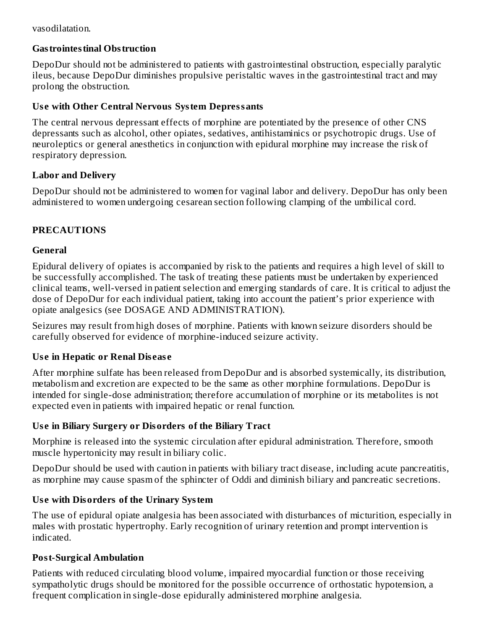#### vasodilatation.

### **Gastrointestinal Obstruction**

DepoDur should not be administered to patients with gastrointestinal obstruction, especially paralytic ileus, because DepoDur diminishes propulsive peristaltic waves in the gastrointestinal tract and may prolong the obstruction.

#### **Us e with Other Central Nervous System Depressants**

The central nervous depressant effects of morphine are potentiated by the presence of other CNS depressants such as alcohol, other opiates, sedatives, antihistaminics or psychotropic drugs. Use of neuroleptics or general anesthetics in conjunction with epidural morphine may increase the risk of respiratory depression.

### **Labor and Delivery**

DepoDur should not be administered to women for vaginal labor and delivery. DepoDur has only been administered to women undergoing cesarean section following clamping of the umbilical cord.

## **PRECAUTIONS**

## **General**

Epidural delivery of opiates is accompanied by risk to the patients and requires a high level of skill to be successfully accomplished. The task of treating these patients must be undertaken by experienced clinical teams, well-versed in patient selection and emerging standards of care. It is critical to adjust the dose of DepoDur for each individual patient, taking into account the patient's prior experience with opiate analgesics (see DOSAGE AND ADMINISTRATION).

Seizures may result from high doses of morphine. Patients with known seizure disorders should be carefully observed for evidence of morphine-induced seizure activity.

## **Us e in Hepatic or Renal Dis eas e**

After morphine sulfate has been released from DepoDur and is absorbed systemically, its distribution, metabolism and excretion are expected to be the same as other morphine formulations. DepoDur is intended for single-dose administration; therefore accumulation of morphine or its metabolites is not expected even in patients with impaired hepatic or renal function.

## **Us e in Biliary Surgery or Disorders of the Biliary Tract**

Morphine is released into the systemic circulation after epidural administration. Therefore, smooth muscle hypertonicity may result in biliary colic.

DepoDur should be used with caution in patients with biliary tract disease, including acute pancreatitis, as morphine may cause spasm of the sphincter of Oddi and diminish biliary and pancreatic secretions.

## **Us e with Disorders of the Urinary System**

The use of epidural opiate analgesia has been associated with disturbances of micturition, especially in males with prostatic hypertrophy. Early recognition of urinary retention and prompt intervention is indicated.

#### **Post-Surgical Ambulation**

Patients with reduced circulating blood volume, impaired myocardial function or those receiving sympatholytic drugs should be monitored for the possible occurrence of orthostatic hypotension, a frequent complication in single-dose epidurally administered morphine analgesia.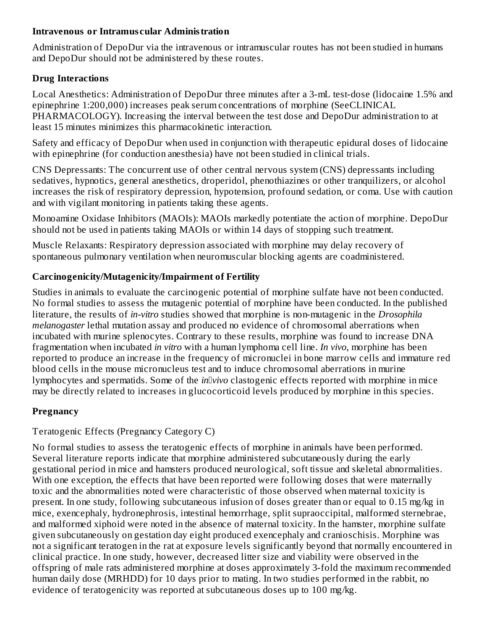#### **Intravenous or Intramus cular Administration**

Administration of DepoDur via the intravenous or intramuscular routes has not been studied in humans and DepoDur should not be administered by these routes.

### **Drug Interactions**

Local Anesthetics: Administration of DepoDur three minutes after a 3-mL test-dose (lidocaine 1.5% and epinephrine 1:200,000) increases peak serum concentrations of morphine (SeeCLINICAL PHARMACOLOGY). Increasing the interval between the test dose and DepoDur administration to at least 15 minutes minimizes this pharmacokinetic interaction.

Safety and efficacy of DepoDur when used in conjunction with therapeutic epidural doses of lidocaine with epinephrine (for conduction anesthesia) have not been studied in clinical trials.

CNS Depressants: The concurrent use of other central nervous system (CNS) depressants including sedatives, hypnotics, general anesthetics, droperidol, phenothiazines or other tranquilizers, or alcohol increases the risk of respiratory depression, hypotension, profound sedation, or coma. Use with caution and with vigilant monitoring in patients taking these agents.

Monoamine Oxidase Inhibitors (MAOIs): MAOIs markedly potentiate the action of morphine. DepoDur should not be used in patients taking MAOIs or within 14 days of stopping such treatment.

Muscle Relaxants: Respiratory depression associated with morphine may delay recovery of spontaneous pulmonary ventilation when neuromuscular blocking agents are coadministered.

## **Carcinogenicity/Mutagenicity/Impairment of Fertility**

Studies in animals to evaluate the carcinogenic potential of morphine sulfate have not been conducted. No formal studies to assess the mutagenic potential of morphine have been conducted. In the published literature, the results of *in-vitro* studies showed that morphine is non-mutagenic in the *Drosophila melanogaster* lethal mutation assay and produced no evidence of chromosomal aberrations when incubated with murine splenocytes. Contrary to these results, morphine was found to increase DNA fragmentation when incubated *in vitro* with a human lymphoma cell line. *In vivo*, morphine has been reported to produce an increase in the frequency of micronuclei in bone marrow cells and immature red blood cells in the mouse micronucleus test and to induce chromosomal aberrations in murine lymphocytes and spermatids. Some of the *in*llwivo clastogenic effects reported with morphine in mice may be directly related to increases in glucocorticoid levels produced by morphine in this species.

## **Pregnancy**

## Teratogenic Effects (Pregnancy Category C)

No formal studies to assess the teratogenic effects of morphine in animals have been performed. Several literature reports indicate that morphine administered subcutaneously during the early gestational period in mice and hamsters produced neurological, soft tissue and skeletal abnormalities. With one exception, the effects that have been reported were following doses that were maternally toxic and the abnormalities noted were characteristic of those observed when maternal toxicity is present. In one study, following subcutaneous infusion of doses greater than or equal to 0.15 mg/kg in mice, exencephaly, hydronephrosis, intestinal hemorrhage, split supraoccipital, malformed sternebrae, and malformed xiphoid were noted in the absence of maternal toxicity. In the hamster, morphine sulfate given subcutaneously on gestation day eight produced exencephaly and cranioschisis. Morphine was not a significant teratogen in the rat at exposure levels significantly beyond that normally encountered in clinical practice. In one study, however, decreased litter size and viability were observed in the offspring of male rats administered morphine at doses approximately 3-fold the maximum recommended human daily dose (MRHDD) for 10 days prior to mating. In two studies performed in the rabbit, no evidence of teratogenicity was reported at subcutaneous doses up to 100 mg/kg.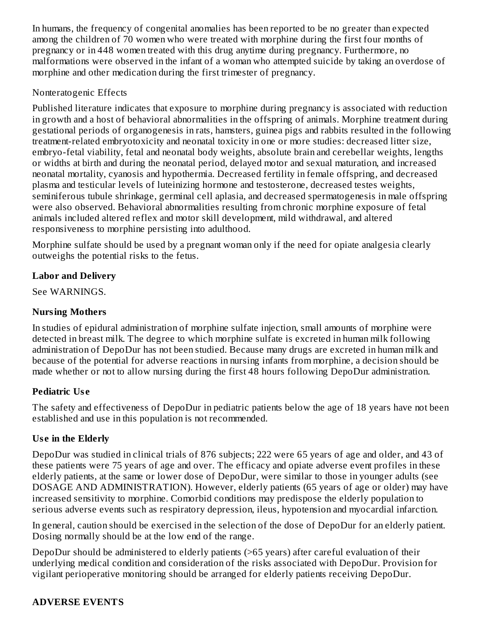In humans, the frequency of congenital anomalies has been reported to be no greater than expected among the children of 70 women who were treated with morphine during the first four months of pregnancy or in 448 women treated with this drug anytime during pregnancy. Furthermore, no malformations were observed in the infant of a woman who attempted suicide by taking an overdose of morphine and other medication during the first trimester of pregnancy.

#### Nonteratogenic Effects

Published literature indicates that exposure to morphine during pregnancy is associated with reduction in growth and a host of behavioral abnormalities in the offspring of animals. Morphine treatment during gestational periods of organogenesis in rats, hamsters, guinea pigs and rabbits resulted in the following treatment-related embryotoxicity and neonatal toxicity in one or more studies: decreased litter size, embryo-fetal viability, fetal and neonatal body weights, absolute brain and cerebellar weights, lengths or widths at birth and during the neonatal period, delayed motor and sexual maturation, and increased neonatal mortality, cyanosis and hypothermia. Decreased fertility in female offspring, and decreased plasma and testicular levels of luteinizing hormone and testosterone, decreased testes weights, seminiferous tubule shrinkage, germinal cell aplasia, and decreased spermatogenesis in male offspring were also observed. Behavioral abnormalities resulting from chronic morphine exposure of fetal animals included altered reflex and motor skill development, mild withdrawal, and altered responsiveness to morphine persisting into adulthood.

Morphine sulfate should be used by a pregnant woman only if the need for opiate analgesia clearly outweighs the potential risks to the fetus.

### **Labor and Delivery**

See WARNINGS.

### **Nursing Mothers**

In studies of epidural administration of morphine sulfate injection, small amounts of morphine were detected in breast milk. The degree to which morphine sulfate is excreted in human milk following administration of DepoDur has not been studied. Because many drugs are excreted in human milk and because of the potential for adverse reactions in nursing infants from morphine, a decision should be made whether or not to allow nursing during the first 48 hours following DepoDur administration.

#### **Pediatric Us e**

The safety and effectiveness of DepoDur in pediatric patients below the age of 18 years have not been established and use in this population is not recommended.

## **Us e in the Elderly**

DepoDur was studied in clinical trials of 876 subjects; 222 were 65 years of age and older, and 43 of these patients were 75 years of age and over. The efficacy and opiate adverse event profiles in these elderly patients, at the same or lower dose of DepoDur, were similar to those in younger adults (see DOSAGE AND ADMINISTRATION). However, elderly patients (65 years of age or older) may have increased sensitivity to morphine. Comorbid conditions may predispose the elderly population to serious adverse events such as respiratory depression, ileus, hypotension and myocardial infarction.

In general, caution should be exercised in the selection of the dose of DepoDur for an elderly patient. Dosing normally should be at the low end of the range.

DepoDur should be administered to elderly patients (>65 years) after careful evaluation of their underlying medical condition and consideration of the risks associated with DepoDur. Provision for vigilant perioperative monitoring should be arranged for elderly patients receiving DepoDur.

## **ADVERSE EVENTS**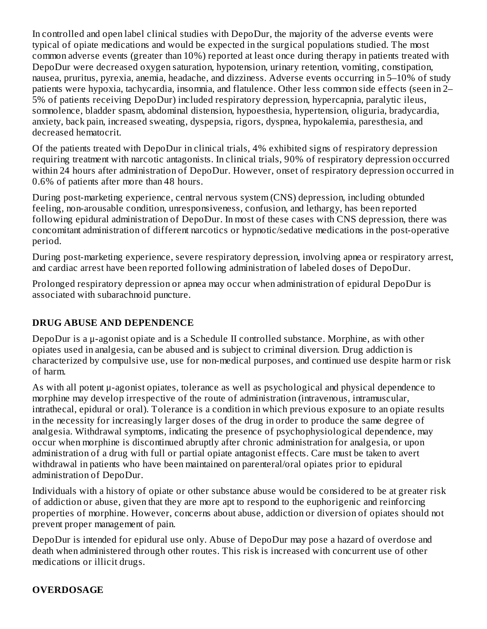In controlled and open label clinical studies with DepoDur, the majority of the adverse events were typical of opiate medications and would be expected in the surgical populations studied. The most common adverse events (greater than 10%) reported at least once during therapy in patients treated with DepoDur were decreased oxygen saturation, hypotension, urinary retention, vomiting, constipation, nausea, pruritus, pyrexia, anemia, headache, and dizziness. Adverse events occurring in 5–10% of study patients were hypoxia, tachycardia, insomnia, and flatulence. Other less common side effects (seen in 2– 5% of patients receiving DepoDur) included respiratory depression, hypercapnia, paralytic ileus, somnolence, bladder spasm, abdominal distension, hypoesthesia, hypertension, oliguria, bradycardia, anxiety, back pain, increased sweating, dyspepsia, rigors, dyspnea, hypokalemia, paresthesia, and decreased hematocrit.

Of the patients treated with DepoDur in clinical trials, 4% exhibited signs of respiratory depression requiring treatment with narcotic antagonists. In clinical trials, 90% of respiratory depression occurred within 24 hours after administration of DepoDur. However, onset of respiratory depression occurred in 0.6% of patients after more than 48 hours.

During post-marketing experience, central nervous system (CNS) depression, including obtunded feeling, non-arousable condition, unresponsiveness, confusion, and lethargy, has been reported following epidural administration of DepoDur. In most of these cases with CNS depression, there was concomitant administration of different narcotics or hypnotic/sedative medications in the post-operative period.

During post-marketing experience, severe respiratory depression, involving apnea or respiratory arrest, and cardiac arrest have been reported following administration of labeled doses of DepoDur.

Prolonged respiratory depression or apnea may occur when administration of epidural DepoDur is associated with subarachnoid puncture.

## **DRUG ABUSE AND DEPENDENCE**

DepoDur is a μ-agonist opiate and is a Schedule II controlled substance. Morphine, as with other opiates used in analgesia, can be abused and is subject to criminal diversion. Drug addiction is characterized by compulsive use, use for non-medical purposes, and continued use despite harm or risk of harm.

As with all potent μ-agonist opiates, tolerance as well as psychological and physical dependence to morphine may develop irrespective of the route of administration (intravenous, intramuscular, intrathecal, epidural or oral). Tolerance is a condition in which previous exposure to an opiate results in the necessity for increasingly larger doses of the drug in order to produce the same degree of analgesia. Withdrawal symptoms, indicating the presence of psychophysiological dependence, may occur when morphine is discontinued abruptly after chronic administration for analgesia, or upon administration of a drug with full or partial opiate antagonist effects. Care must be taken to avert withdrawal in patients who have been maintained on parenteral/oral opiates prior to epidural administration of DepoDur.

Individuals with a history of opiate or other substance abuse would be considered to be at greater risk of addiction or abuse, given that they are more apt to respond to the euphorigenic and reinforcing properties of morphine. However, concerns about abuse, addiction or diversion of opiates should not prevent proper management of pain.

DepoDur is intended for epidural use only. Abuse of DepoDur may pose a hazard of overdose and death when administered through other routes. This risk is increased with concurrent use of other medications or illicit drugs.

## **OVERDOSAGE**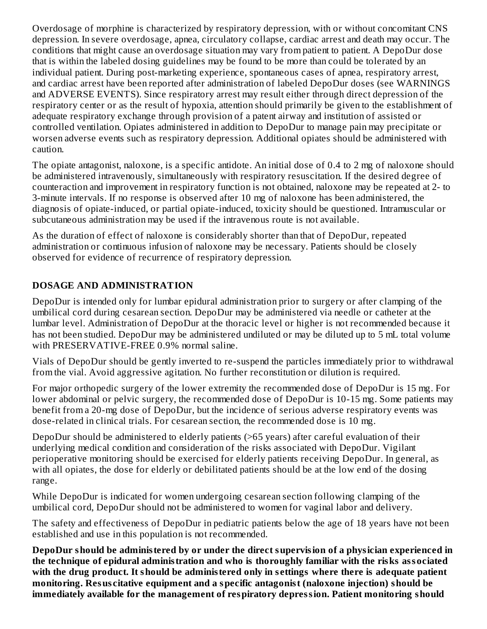Overdosage of morphine is characterized by respiratory depression, with or without concomitant CNS depression. In severe overdosage, apnea, circulatory collapse, cardiac arrest and death may occur. The conditions that might cause an overdosage situation may vary from patient to patient. A DepoDur dose that is within the labeled dosing guidelines may be found to be more than could be tolerated by an individual patient. During post-marketing experience, spontaneous cases of apnea, respiratory arrest, and cardiac arrest have been reported after administration of labeled DepoDur doses (see WARNINGS and ADVERSE EVENTS). Since respiratory arrest may result either through direct depression of the respiratory center or as the result of hypoxia, attention should primarily be given to the establishment of adequate respiratory exchange through provision of a patent airway and institution of assisted or controlled ventilation. Opiates administered in addition to DepoDur to manage pain may precipitate or worsen adverse events such as respiratory depression. Additional opiates should be administered with caution.

The opiate antagonist, naloxone, is a specific antidote. An initial dose of 0.4 to 2 mg of naloxone should be administered intravenously, simultaneously with respiratory resuscitation. If the desired degree of counteraction and improvement in respiratory function is not obtained, naloxone may be repeated at 2- to 3-minute intervals. If no response is observed after 10 mg of naloxone has been administered, the diagnosis of opiate-induced, or partial opiate-induced, toxicity should be questioned. Intramuscular or subcutaneous administration may be used if the intravenous route is not available.

As the duration of effect of naloxone is considerably shorter than that of DepoDur, repeated administration or continuous infusion of naloxone may be necessary. Patients should be closely observed for evidence of recurrence of respiratory depression.

## **DOSAGE AND ADMINISTRATION**

DepoDur is intended only for lumbar epidural administration prior to surgery or after clamping of the umbilical cord during cesarean section. DepoDur may be administered via needle or catheter at the lumbar level. Administration of DepoDur at the thoracic level or higher is not recommended because it has not been studied. DepoDur may be administered undiluted or may be diluted up to 5 mL total volume with PRESERVATIVE-FREE 0.9% normal saline.

Vials of DepoDur should be gently inverted to re-suspend the particles immediately prior to withdrawal from the vial. Avoid aggressive agitation. No further reconstitution or dilution is required.

For major orthopedic surgery of the lower extremity the recommended dose of DepoDur is 15 mg. For lower abdominal or pelvic surgery, the recommended dose of DepoDur is 10-15 mg. Some patients may benefit from a 20-mg dose of DepoDur, but the incidence of serious adverse respiratory events was dose-related in clinical trials. For cesarean section, the recommended dose is 10 mg.

DepoDur should be administered to elderly patients (>65 years) after careful evaluation of their underlying medical condition and consideration of the risks associated with DepoDur. Vigilant perioperative monitoring should be exercised for elderly patients receiving DepoDur. In general, as with all opiates, the dose for elderly or debilitated patients should be at the low end of the dosing range.

While DepoDur is indicated for women undergoing cesarean section following clamping of the umbilical cord, DepoDur should not be administered to women for vaginal labor and delivery.

The safety and effectiveness of DepoDur in pediatric patients below the age of 18 years have not been established and use in this population is not recommended.

**DepoDur should be administered by or under the direct supervision of a physician experienced in the technique of epidural administration and who is thoroughly familiar with the risks associated with the drug product. It should be administered only in s ettings where there is adequate patient monitoring. Resus citative equipment and a specific antagonist (naloxone injection) should be immediately available for the management of respiratory depression. Patient monitoring should**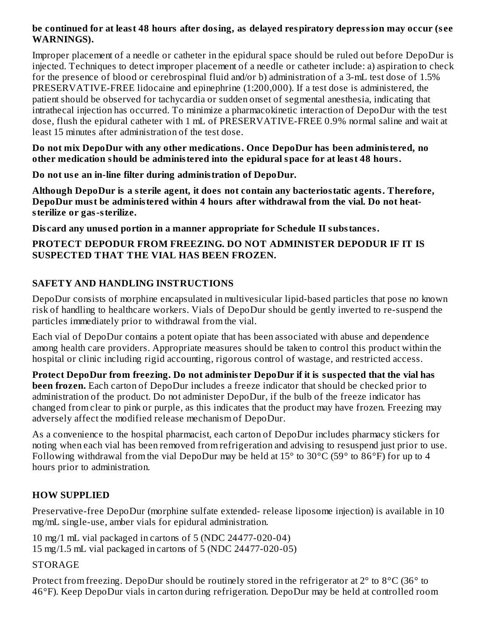#### **be continued for at least 48 hours after dosing, as delayed respiratory depression may occur (s ee WARNINGS).**

Improper placement of a needle or catheter in the epidural space should be ruled out before DepoDur is injected. Techniques to detect improper placement of a needle or catheter include: a) aspiration to check for the presence of blood or cerebrospinal fluid and/or b) administration of a 3-mL test dose of 1.5% PRESERVATIVE-FREE lidocaine and epinephrine (1:200,000). If a test dose is administered, the patient should be observed for tachycardia or sudden onset of segmental anesthesia, indicating that intrathecal injection has occurred. To minimize a pharmacokinetic interaction of DepoDur with the test dose, flush the epidural catheter with 1 mL of PRESERVATIVE-FREE 0.9% normal saline and wait at least 15 minutes after administration of the test dose.

**Do not mix DepoDur with any other medications. Once DepoDur has been administered, no other medication should be administered into the epidural space for at least 48 hours.**

**Do not us e an in-line filter during administration of DepoDur.**

**Although DepoDur is a sterile agent, it does not contain any bacteriostatic agents. Therefore, DepoDur must be administered within 4 hours after withdrawal from the vial. Do not heatsterilize or gas-sterilize.**

**Dis card any unus ed portion in a manner appropriate for Schedule II substances.**

#### **PROTECT DEPODUR FROM FREEZING. DO NOT ADMINISTER DEPODUR IF IT IS SUSPECTED THAT THE VIAL HAS BEEN FROZEN.**

## **SAFETY AND HANDLING INSTRUCTIONS**

DepoDur consists of morphine encapsulated in multivesicular lipid-based particles that pose no known risk of handling to healthcare workers. Vials of DepoDur should be gently inverted to re-suspend the particles immediately prior to withdrawal from the vial.

Each vial of DepoDur contains a potent opiate that has been associated with abuse and dependence among health care providers. Appropriate measures should be taken to control this product within the hospital or clinic including rigid accounting, rigorous control of wastage, and restricted access.

**Protect DepoDur from freezing. Do not administer DepoDur if it is suspected that the vial has been frozen.** Each carton of DepoDur includes a freeze indicator that should be checked prior to administration of the product. Do not administer DepoDur, if the bulb of the freeze indicator has changed from clear to pink or purple, as this indicates that the product may have frozen. Freezing may adversely affect the modified release mechanism of DepoDur.

As a convenience to the hospital pharmacist, each carton of DepoDur includes pharmacy stickers for noting when each vial has been removed from refrigeration and advising to resuspend just prior to use. Following withdrawal from the vial DepoDur may be held at 15° to 30°C (59° to 86°F) for up to 4 hours prior to administration.

## **HOW SUPPLIED**

Preservative-free DepoDur (morphine sulfate extended- release liposome injection) is available in 10 mg/mL single-use, amber vials for epidural administration.

10 mg/1 mL vial packaged in cartons of 5 (NDC 24477-020-04) 15 mg/1.5 mL vial packaged in cartons of 5 (NDC 24477-020-05)

#### **STORAGE**

Protect from freezing. DepoDur should be routinely stored in the refrigerator at 2° to 8°C (36° to 46°F). Keep DepoDur vials in carton during refrigeration. DepoDur may be held at controlled room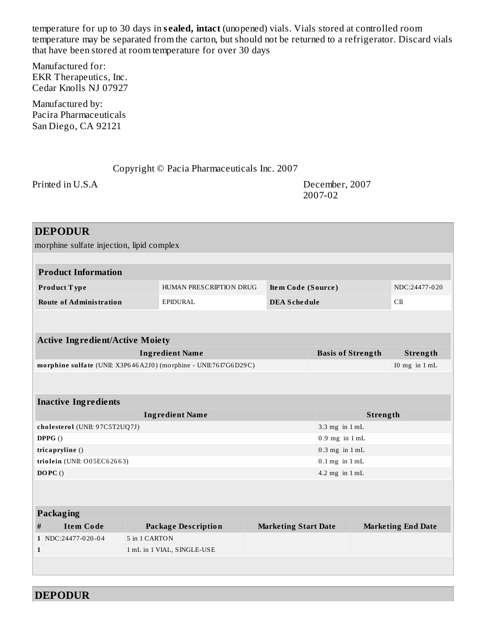temperature for up to 30 days in **s ealed, intact** (unopened) vials. Vials stored at controlled room temperature may be separated from the carton, but should not be returned to a refrigerator. Discard vials that have been stored at room temperature for over 30 days

Manufactured for: EKR Therapeutics, Inc. Cedar Knolls NJ 07927

Manufactured by: Pacira Pharmaceuticals San Diego, CA 92121

# Copyright © Pacia Pharmaceuticals Inc. 2007

Printed in U.S.A December, 2007 2007-02

|                            | <b>DEPODUR</b>                                                   |                            |                         |                             |                            |          |                           |
|----------------------------|------------------------------------------------------------------|----------------------------|-------------------------|-----------------------------|----------------------------|----------|---------------------------|
|                            | morphine sulfate injection, lipid complex                        |                            |                         |                             |                            |          |                           |
|                            |                                                                  |                            |                         |                             |                            |          |                           |
|                            | <b>Product Information</b>                                       |                            |                         |                             |                            |          |                           |
|                            | Product Type                                                     |                            | HUMAN PRESCRIPTION DRUG | Item Code (Source)          |                            |          | NDC:24477-020             |
|                            | <b>Route of Administration</b>                                   | EPIDURAL                   |                         | <b>DEA Schedule</b>         |                            |          | C <sub>II</sub>           |
|                            |                                                                  |                            |                         |                             |                            |          |                           |
|                            |                                                                  |                            |                         |                             |                            |          |                           |
|                            | <b>Active Ingredient/Active Moiety</b>                           |                            |                         |                             |                            |          |                           |
|                            |                                                                  | <b>Ingredient Name</b>     |                         |                             | <b>Basis of Strength</b>   |          | Strength                  |
|                            | morphine sulfate (UNII: X3P646A2J0) (morphine - UNII:76I7G6D29C) |                            |                         |                             |                            |          | 10 mg in $1$ mL           |
|                            |                                                                  |                            |                         |                             |                            |          |                           |
|                            | <b>Inactive Ingredients</b>                                      |                            |                         |                             |                            |          |                           |
|                            |                                                                  | <b>Ingredient Name</b>     |                         |                             |                            | Strength |                           |
|                            | cholesterol (UNII: 97C5T2UQ7J)                                   |                            |                         |                             | 3.3 mg in 1 mL             |          |                           |
|                            | DPPG()                                                           |                            |                         |                             | $0.9$ mg in $1 \text{ mL}$ |          |                           |
|                            | tricapryline ()                                                  |                            |                         |                             | $0.3$ mg in $1$ mL         |          |                           |
|                            | triolein (UNII: O05EC62663)                                      |                            |                         |                             | $0.1$ mg in $1$ mL         |          |                           |
| DOPC()<br>4.2 mg in $1$ mL |                                                                  |                            |                         |                             |                            |          |                           |
|                            |                                                                  |                            |                         |                             |                            |          |                           |
|                            |                                                                  |                            |                         |                             |                            |          |                           |
|                            | Packaging                                                        |                            |                         |                             |                            |          |                           |
| #                          | <b>Item Code</b>                                                 | <b>Package Description</b> |                         | <b>Marketing Start Date</b> |                            |          | <b>Marketing End Date</b> |
|                            | 1 NDC:24477-020-04                                               | 5 in 1 CARTON              |                         |                             |                            |          |                           |
| $\mathbf{1}$               |                                                                  | 1 mL in 1 VIAL, SINGLE-USE |                         |                             |                            |          |                           |
|                            |                                                                  |                            |                         |                             |                            |          |                           |
|                            |                                                                  |                            |                         |                             |                            |          |                           |

**DEPODUR**